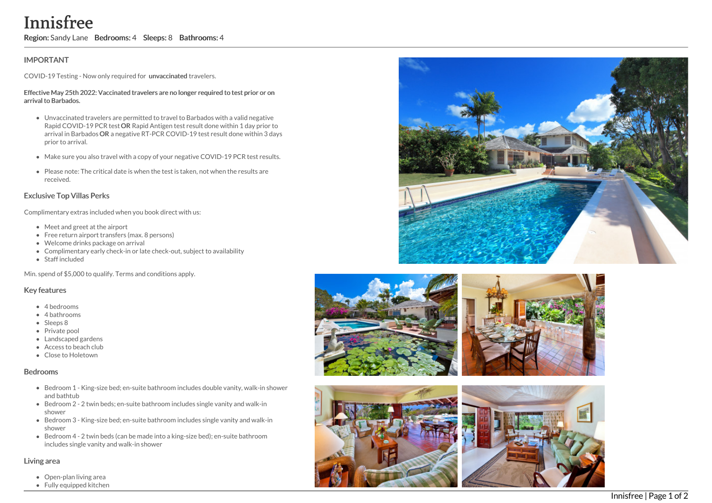# Innisfree

Region: Sandy Lane Bedrooms: 4 Sleeps: 8 Bathrooms: 4

## **IMPORTANT**

COVID-19 Testing - Now only required for unvaccinated travelers.

#### Effective May 25th 2022: Vaccinated travelers are no longer required to test prior or on arrival to Barbados.

- Unvaccinated travelers are permitted to travel to Barbados with a valid negative Rapid COVID-19 PCR test OR Rapid Antigen test result done within 1 day prior to arrival in Barbados OR a negative RT-PCR COVID-19 test result done within 3 days prior to arrival.
- Make sure you also travel with a copy of your negative COVID-19 PCR test results.
- Please note: The critical date is when the test is taken, not when the results are received.

## Exclusive Top Villas Perks

Complimentary extras included when you book direct with us:

- Meet and greet at the airport
- Free return airport transfers (max. 8 persons)
- Welcome drinks package on arrival
- Complimentary early check-in or late check-out, subject to availability
- Staff included

Min. spend of \$5,000 to qualify. Terms and conditions apply.

#### Key features

- 4 bedrooms
- 4 bathrooms
- Sleeps 8
- Private pool
- Landscaped gardens
- Access to beach club
- Close to Holetown

#### Bedrooms

- Bedroom 1 King-size bed; en-suite bathroom includes double vanity, walk-in show e r and bathtub
- Bedroom 2 2 twin beds; en-suite bathroom includes single vanity and walk-in s h o w e r
- Bedroom 3 King-size bed; en-suite bathroom includes single vanity and walk-in s h o w e r
- Bedroom 4 2 twin beds (can be made into a king-size bed); en-suite bathroom includes single vanity and walk-in shower

#### Living area

- Open-plan living area
- Fully equipped kitchen